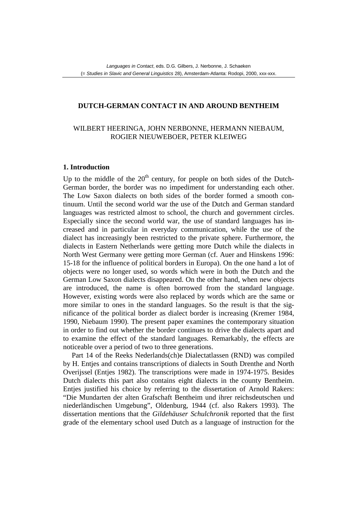## **DUTCH-GERMAN CONTACT IN AND AROUND BENTHEIM**

# WILBERT HEERINGA, JOHN NERBONNE, HERMANN NIEBAUM, ROGIER NIEUWEBOER, PETER KLEIWEG

## **1. Introduction**

Up to the middle of the  $20<sup>th</sup>$  century, for people on both sides of the Dutch-German border, the border was no impediment for understanding each other. The Low Saxon dialects on both sides of the border formed a smooth continuum. Until the second world war the use of the Dutch and German standard languages was restricted almost to school, the church and government circles. Especially since the second world war, the use of standard languages has increased and in particular in everyday communication, while the use of the dialect has increasingly been restricted to the private sphere. Furthermore, the dialects in Eastern Netherlands were getting more Dutch while the dialects in North West Germany were getting more German (cf. Auer and Hinskens 1996: 15-18 for the influence of political borders in Europa). On the one hand a lot of objects were no longer used, so words which were in both the Dutch and the German Low Saxon dialects disappeared. On the other hand, when new objects are introduced, the name is often borrowed from the standard language. However, existing words were also replaced by words which are the same or more similar to ones in the standard languages. So the result is that the significance of the political border as dialect border is increasing (Kremer 1984, 1990, Niebaum 1990). The present paper examines the contemporary situation in order to find out whether the border continues to drive the dialects apart and to examine the effect of the standard languages. Remarkably, the effects are noticeable over a period of two to three generations.

Part 14 of the Reeks Nederlands(ch)e Dialectatlassen (RND) was compiled by H. Entjes and contains transcriptions of dialects in South Drenthe and North Overijssel (Entjes 1982). The transcriptions were made in 1974-1975. Besides Dutch dialects this part also contains eight dialects in the county Bentheim. Entjes justified his choice by referring to the dissertation of Arnold Rakers: "Die Mundarten der alten Grafschaft Bentheim und ihrer reichsdeutschen und niederländischen Umgebung", Oldenburg, 1944 (cf. also Rakers 1993). The dissertation mentions that the *Gildehäuser Schulchronik* reported that the first grade of the elementary school used Dutch as a language of instruction for the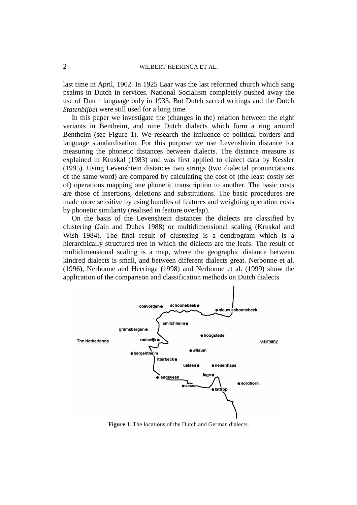#### 2 WILBERT HEERINGA ET AL.

last time in April, 1902. In 1925 Laar was the last reformed church which sang psalms in Dutch in services. National Socialism completely pushed away the use of Dutch language only in 1933. But Dutch sacred writings and the Dutch *Statenbijbel* were still used for a long time.

In this paper we investigate the (changes in the) relation between the eight variants in Bentheim, and nine Dutch dialects which form a ring around Bentheim (see Figure 1). We research the influence of political borders and language standardisation. For this purpose we use Levenshtein distance for measuring the phonetic distances between dialects. The distance measure is explained in Kruskal (1983) and was first applied to dialect data by Kessler (1995). Using Levenshtein distances two strings (two dialectal pronunciations of the same word) are compared by calculating the cost of (the least costly set of) operations mapping one phonetic transcription to another. The basic costs are those of insertions, deletions and substitutions. The basic procedures are made more sensitive by using bundles of features and weighting operation costs by phonetic similarity (realised in feature overlap).

On the basis of the Levenshtein distances the dialects are classified by clustering (Jain and Dubes 1988) or multidimensional scaling (Kruskal and Wish 1984). The final result of clustering is a dendrogram which is a hierarchically structured tree in which the dialects are the leafs. The result of multidimensional scaling is a map, where the geographic distance between kindred dialects is small, and between different dialects great. Nerbonne et al. (1996), Nerbonne and Heeringa (1998) and Nerbonne et al. (1999) show the application of the comparison and classification methods on Dutch dialects.



**Figure 1**. The locations of the Dutch and German dialects.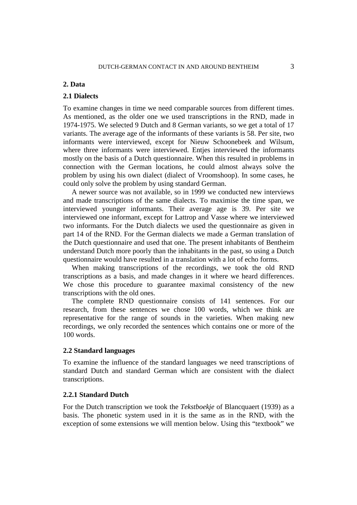#### **2. Data**

## **2.1 Dialects**

To examine changes in time we need comparable sources from different times. As mentioned, as the older one we used transcriptions in the RND, made in 1974-1975. We selected 9 Dutch and 8 German variants, so we get a total of 17 variants. The average age of the informants of these variants is 58. Per site, two informants were interviewed, except for Nieuw Schoonebeek and Wilsum, where three informants were interviewed. Entjes interviewed the informants mostly on the basis of a Dutch questionnaire. When this resulted in problems in connection with the German locations, he could almost always solve the problem by using his own dialect (dialect of Vroomshoop). In some cases, he could only solve the problem by using standard German.

A newer source was not available, so in 1999 we conducted new interviews and made transcriptions of the same dialects. To maximise the time span, we interviewed younger informants. Their average age is 39. Per site we interviewed one informant, except for Lattrop and Vasse where we interviewed two informants. For the Dutch dialects we used the questionnaire as given in part 14 of the RND. For the German dialects we made a German translation of the Dutch questionnaire and used that one. The present inhabitants of Bentheim understand Dutch more poorly than the inhabitants in the past, so using a Dutch questionnaire would have resulted in a translation with a lot of echo forms.

When making transcriptions of the recordings, we took the old RND transcriptions as a basis, and made changes in it where we heard differences. We chose this procedure to guarantee maximal consistency of the new transcriptions with the old ones.

The complete RND questionnaire consists of 141 sentences. For our research, from these sentences we chose 100 words, which we think are representative for the range of sounds in the varieties. When making new recordings, we only recorded the sentences which contains one or more of the 100 words.

#### **2.2 Standard languages**

To examine the influence of the standard languages we need transcriptions of standard Dutch and standard German which are consistent with the dialect transcriptions.

#### **2.2.1 Standard Dutch**

For the Dutch transcription we took the *Tekstboekje* of Blancquaert (1939) as a basis. The phonetic system used in it is the same as in the RND, with the exception of some extensions we will mention below. Using this "textbook" we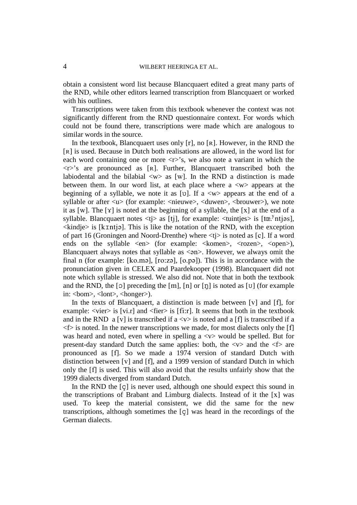#### 4 WILBERT HEERINGA ET AL.

obtain a consistent word list because Blancquaert edited a great many parts of the RND, while other editors learned transcription from Blancquaert or worked with his outlines.

Transcriptions were taken from this textbook whenever the context was not significantly different from the RND questionnaire context. For words which could not be found there, transcriptions were made which are analogous to similar words in the source.

In the textbook, Blancquaert uses only  $[r]$ , no  $[R]$ . However, in the RND the [R] is used. Because in Dutch both realisations are allowed, in the word list for each word containing one or more  $\langle r \rangle$ 's, we also note a variant in which the  $\langle r \rangle$ 's are pronounced as [R]. Further, Blancquaert transcribed both the labiodental and the bilabial  $\langle w \rangle$  as [w]. In the RND a distinction is made between them. In our word list, at each place where  $a \le w$  appears at the beginning of a syllable, we note it as [v]. If a  $\langle w \rangle$  appears at the end of a syllable or after  $\langle u \rangle$  (for example:  $\langle \text{nieuwe} \rangle$ ,  $\langle \text{duwen} \rangle$ ,  $\langle \text{brouwer} \rangle$ ), we note it as [w]. The  $[\gamma]$  is noted at the beginning of a syllable, the  $[\chi]$  at the end of a syllable. Blancquaert notes  $\langle t \rangle$  as [tj], for example:  $\langle$ tuintjes is [tœ.<sup>y</sup>ntjəs],  $\le$ kindje $>$  is [k $\pm$ ntj $\ge$ ]. This is like the notation of the RND, with the exception of part 16 (Groningen and Noord-Drenthe) where  $\langle t \rangle$  is noted as [c]. If a word ends on the syllable  $\langle en \rangle$  (for example:  $\langle$ komen $\rangle$ ,  $\langle$ rozen $\rangle$ ,  $\langle$ open $\rangle$ ), Blancquaert always notes that syllable as  $\langle$  an $\rangle$ . However, we always omit the final n (for example: [ko.mə], [ro:zə], [o.pə]). This is in accordance with the pronunciation given in CELEX and Paardekooper (1998). Blancquaert did not note which syllable is stressed. We also did not. Note that in both the textbook and the RND, the [o] preceding the [m], [n] or [n] is noted as [ $\sigma$ ] (for example in: <br/> <ht>, <ht>, <honger>).

In the texts of Blancquaert, a distinction is made between  $[v]$  and  $[f]$ , for example:  $\langle \text{vier} \rangle$  is  $[\text{vi} \cdot \text{r}]$  and  $\langle \text{fier} \rangle$  is  $[\text{fi} \cdot \text{r}]$ . It seems that both in the textbook and in the RND a [v] is transcribed if  $a \langle v \rangle$  is noted and a [f] is transcribed if a  $\leq$  is noted. In the newer transcriptions we made, for most dialects only the [f] was heard and noted, even where in spelling  $a \langle v \rangle$  would be spelled. But for present-day standard Dutch the same applies: both, the  $\langle v \rangle$  and the  $\langle f \rangle$  are pronounced as [f]. So we made a 1974 version of standard Dutch with distinction between [v] and [f], and a 1999 version of standard Dutch in which only the [I] is used. This will also avoid that the results unfairly show that the 1999 dialects diverged from standard Dutch.

In the RND the [c] is never used, although one should expect this sound in the transcriptions of Brabant and Limburg dialects. Instead of it the  $[x]$  was used. To keep the material consistent, we did the same for the new transcriptions, although sometimes the  $|c|$  was heard in the recordings of the German dialects.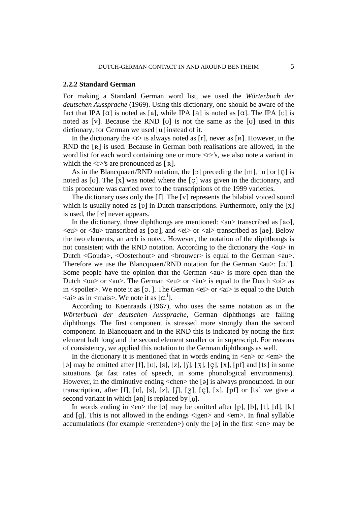#### **2.2.2 Standard German**

For making a Standard German word list, we used the *Wörterbuch der deutschen Aussprache* (1969). Using this dictionary, one should be aware of the fact that IPA  $[\alpha]$  is noted as [a], while IPA [a] is noted as  $[\alpha]$ . The IPA [v] is noted as [v]. Because the RND [v] is not the same as the [v] used in this dictionary, for German we used [u] instead of it.

In the dictionary the  $\langle r \rangle$  is always noted as [r], never as [R]. However, in the RND the  $\lceil R \rceil$  is used. Because in German both realisations are allowed, in the word list for each word containing one or more  $\langle r \rangle$ 's, we also note a variant in which the  $\langle r \rangle$ 's are pronounced as [R].

As in the Blancquaert/RND notation, the  $[5]$  preceding the  $[m]$ ,  $[n]$  or  $[p]$  is noted as [ $\sigma$ ]. The [x] was noted where the [ $\sigma$ ] was given in the dictionary, and this procedure was carried over to the transcriptions of the 1999 varieties.

The dictionary uses only the [f]. The [v] represents the bilabial voiced sound which is usually noted as  $[v]$  in Dutch transcriptions. Furthermore, only the  $[x]$ is used, the  $[\gamma]$  never appears.

In the dictionary, three diphthongs are mentioned:  $\langle au \rangle$  transcribed as [ao],  $\langle eu \rangle$  or  $\langle \langle \text{au} \rangle$  transcribed as [0 $\emptyset$ ], and  $\langle ei \rangle$  or  $\langle ai \rangle$  transcribed as [ae]. Below the two elements, an arch is noted. However, the notation of the diphthongs is not consistent with the RND notation. According to the dictionary the <ou> in Dutch <Gouda>, <Dosterhout> and <br/> <br/>downmodules is equal to the German <au>. Therefore we use the Blancquaert/RND notation for the German  $\langle au \rangle$ : [0.<sup>u</sup>]. Some people have the opinion that the German  $\langle au \rangle$  is more open than the Dutch  $\langle 0u \rangle$  or  $\langle 2u \rangle$ . The German  $\langle 2u \rangle$  or  $\langle 2u \rangle$  is equal to the Dutch  $\langle 0i \rangle$  as in  $\le$ spoiler>. We note it as [0.<sup>i</sup>]. The German  $\le$ ei> or  $\le$ ai> is equal to the Dutch  $\langle a$  as in  $\langle ma|$ . We note it as  $[\alpha$ .<sup>1</sup>].  $\blacksquare$ 

According to Koenraads (1967), who uses the same notation as in the *Wörterbuch der deutschen Aussprache*, German diphthongs are falling diphthongs. The first component is stressed more strongly than the second component. In Blancquaert and in the RND this is indicated by noting the first element half long and the second element smaller or in superscript. For reasons of consistency, we applied this notation to the German diphthongs as well.

In the dictionary it is mentioned that in words ending in  $\langle en \rangle$  or  $\langle em \rangle$  the [a] may be omitted after [f], [v], [s], [z], [f], [z], [c], [x], [pf] and [ts] in some situations (at fast rates of speech, in some phonological environments). However, in the diminutive ending  $\langle$ chen $\rangle$  the [ə] is always pronounced. In our transcription, after [f], [v], [s], [z], [f], [3], [ç], [x], [pf] or [ts] we give a second variant in which  $[9n]$  is replaced by  $[n]$ .

In words ending in  $\langle en \rangle$  the [ə] may be omitted after [p], [b], [t], [d], [k] and [q]. This is not allowed in the endings  $\langle$ igen $\rangle$  and  $\langle$ em $\rangle$ . In final syllable accumulations (for example  $\leq$ rettenden $>$ ) only the [ $\varphi$ ] in the first  $\leq$ en $>$  may be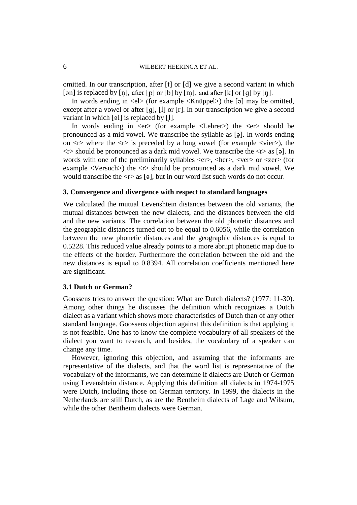## 6 WILBERT HEERINGA ET AL.

omitted. In our transcription, after  $[t]$  or  $[d]$  we give a second variant in which [ $\phi$ n] is replaced by [n̩], after [p] or [b] by [m̩], and after [k] or [g] by [ŋ].

In words ending in  $\langle$ el $\rangle$  (for example  $\langle$ Knüppel $\rangle$ ) the [ə] may be omitted, except after a vowel or after  $[q]$ ,  $[1]$  or  $[r]$ . In our transcription we give a second variant in which  $\lceil 9 \rceil$  is replaced by  $\lceil 1 \rceil$ .

In words ending in <er> (for example <Lehrer>) the <er> should be pronounced as a mid vowel. We transcribe the syllable as  $[3]$ . In words ending on  $\langle r \rangle$  where the  $\langle r \rangle$  is preceded by a long vowel (for example  $\langle v \rangle$ ), the  $\langle r \rangle$  should be pronounced as a dark mid vowel. We transcribe the  $\langle r \rangle$  as [a]. In words with one of the preliminarily syllables  $\langle er \rangle$ ,  $\langle her \rangle$ ,  $\langle ver \rangle$  or  $\langle zer \rangle$  (for example  $\langle$ Versuch $\rangle$  the  $\langle$ r $\rangle$  should be pronounced as a dark mid vowel. We would transcribe the  $\langle r \rangle$  as [ $\varphi$ ], but in our word list such words do not occur.

#### **3. Convergence and divergence with respect to standard languages**

We calculated the mutual Levenshtein distances between the old variants, the mutual distances between the new dialects, and the distances between the old and the new variants. The correlation between the old phonetic distances and the geographic distances turned out to be equal to 0.6056, while the correlation between the new phonetic distances and the geographic distances is equal to 0.5228. This reduced value already points to a more abrupt phonetic map due to the effects of the border. Furthermore the correlation between the old and the new distances is equal to 0.8394. All correlation coefficients mentioned here are significant.

## **3.1 Dutch or German?**

Goossens tries to answer the question: What are Dutch dialects? (1977: 11-30). Among other things he discusses the definition which recognizes a Dutch dialect as a variant which shows more characteristics of Dutch than of any other standard language. Goossens objection against this definition is that applying it is not feasible. One has to know the complete vocabulary of all speakers of the dialect you want to research, and besides, the vocabulary of a speaker can change any time.

However, ignoring this objection, and assuming that the informants are representative of the dialects, and that the word list is representative of the vocabulary of the informants, we can determine if dialects are Dutch or German using Levenshtein distance. Applying this definition all dialects in 1974-1975 were Dutch, including those on German territory. In 1999, the dialects in the Netherlands are still Dutch, as are the Bentheim dialects of Lage and Wilsum, while the other Bentheim dialects were German.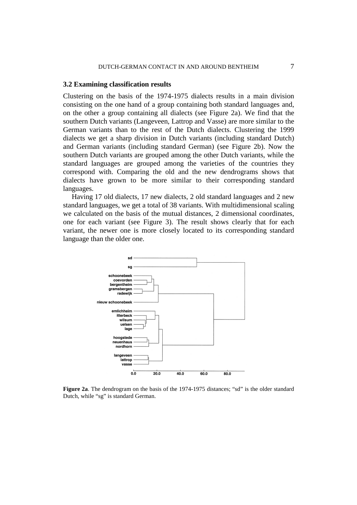#### **3.2 Examining classification results**

Clustering on the basis of the 1974-1975 dialects results in a main division consisting on the one hand of a group containing both standard languages and, on the other a group containing all dialects (see Figure 2a). We find that the southern Dutch variants (Langeveen, Lattrop and Vasse) are more similar to the German variants than to the rest of the Dutch dialects. Clustering the 1999 dialects we get a sharp division in Dutch variants (including standard Dutch) and German variants (including standard German) (see Figure 2b). Now the southern Dutch variants are grouped among the other Dutch variants, while the standard languages are grouped among the varieties of the countries they correspond with. Comparing the old and the new dendrograms shows that dialects have grown to be more similar to their corresponding standard languages.

Having 17 old dialects, 17 new dialects, 2 old standard languages and 2 new standard languages, we get a total of 38 variants. With multidimensional scaling we calculated on the basis of the mutual distances, 2 dimensional coordinates, one for each variant (see Figure 3). The result shows clearly that for each variant, the newer one is more closely located to its corresponding standard language than the older one.



**Figure 2a**. The dendrogram on the basis of the 1974-1975 distances; "sd" is the older standard Dutch, while "sg" is standard German.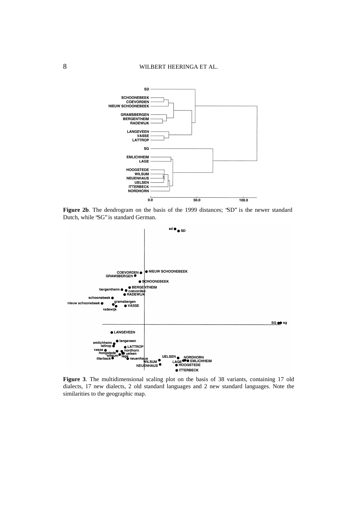

**Figure 2b**. The dendrogram on the basis of the 1999 distances; "SD" is the newer standard Dutch, while "SG" is standard German.



**Figure 3**. The multidimensional scaling plot on the basis of 38 variants, containing 17 old dialects, 17 new dialects, 2 old standard languages and 2 new standard languages. Note the similarities to the geographic map.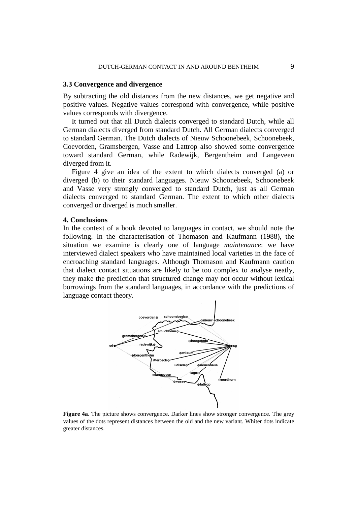#### **3.3 Convergence and divergence**

By subtracting the old distances from the new distances, we get negative and positive values. Negative values correspond with convergence, while positive values corresponds with divergence.

It turned out that all Dutch dialects converged to standard Dutch, while all German dialects diverged from standard Dutch. All German dialects converged to standard German. The Dutch dialects of Nieuw Schoonebeek, Schoonebeek, Coevorden, Gramsbergen, Vasse and Lattrop also showed some convergence toward standard German, while Radewijk, Bergentheim and Langeveen diverged from it.

Figure 4 give an idea of the extent to which dialects converged (a) or diverged (b) to their standard languages. Nieuw Schoonebeek, Schoonebeek and Vasse very strongly converged to standard Dutch, just as all German dialects converged to standard German. The extent to which other dialects converged or diverged is much smaller.

#### **4. Conclusions**

In the context of a book devoted to languages in contact, we should note the following. In the characterisation of Thomason and Kaufmann (1988), the situation we examine is clearly one of language *maintenance*: we have interviewed dialect speakers who have maintained local varieties in the face of encroaching standard languages. Although Thomason and Kaufmann caution that dialect contact situations are likely to be too complex to analyse neatly, they make the prediction that structured change may not occur without lexical borrowings from the standard languages, in accordance with the predictions of language contact theory.



**Figure 4a**. The picture shows convergence. Darker lines show stronger convergence. The grey values of the dots represent distances between the old and the new variant. Whiter dots indicate greater distances.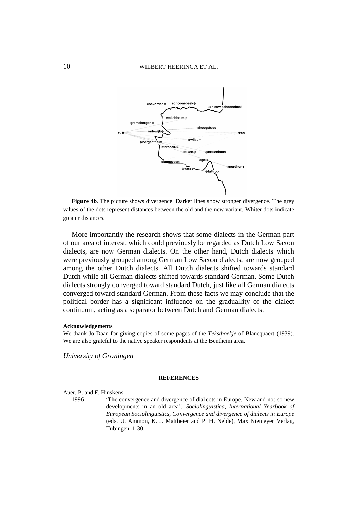

**Figure 4b**. The picture shows divergence. Darker lines show stronger divergence. The grey values of the dots represent distances between the old and the new variant. Whiter dots indicate greater distances.

More importantly the research shows that some dialects in the German part of our area of interest, which could previously be regarded as Dutch Low Saxon dialects, are now German dialects. On the other hand, Dutch dialects which were previously grouped among German Low Saxon dialects, are now grouped among the other Dutch dialects. All Dutch dialects shifted towards standard Dutch while all German dialects shifted towards standard German. Some Dutch dialects strongly converged toward standard Dutch, just like all German dialects converged toward standard German. From these facts we may conclude that the political border has a significant influence on the graduallity of the dialect continuum, acting as a separator between Dutch and German dialects.

#### **Acknowledgements**

We thank Jo Daan for giving copies of some pages of the *Tekstboekje* of Blancquaert (1939). We are also grateful to the native speaker respondents at the Bentheim area.

*University of Groningen*

#### **REFERENCES**

Auer, P. and F. Hinskens

1996 "The convergence and divergence of dial ects in Europe. New and not so new developments in an old area", *Sociolinguistica, International Yearbook of European Sociolinguistics, Convergence and divergence of dialects in Europe* (eds. U. Ammon, K. J. Mattheier and P. H. Nelde), Max Niemeyer Verlag, Tübingen, 1-30.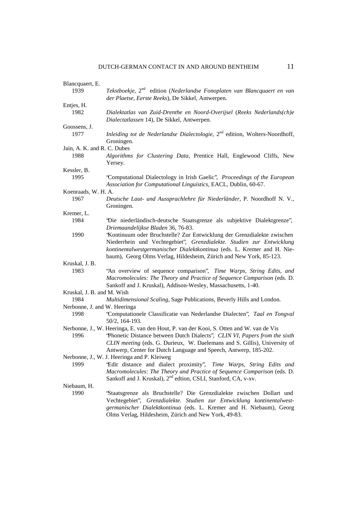| Blancquaert, E.              |                                                                                                                                                                                                                                                                                                                        |
|------------------------------|------------------------------------------------------------------------------------------------------------------------------------------------------------------------------------------------------------------------------------------------------------------------------------------------------------------------|
| 1939                         | Tekstboekje, 2 <sup>nd</sup> edition (Nederlandse Fonoplaten van Blancquaert en van<br>der Plaetse, Eerste Reeks), De Sikkel, Antwerpen.                                                                                                                                                                               |
| Entjes, H.                   |                                                                                                                                                                                                                                                                                                                        |
| 1982                         | Dialektatlas van Zuid-Drenthe en Noord-Overijsel (Reeks Nederlands(ch)e<br>Dialectatlassen 14), De Sikkel, Antwerpen.                                                                                                                                                                                                  |
| Goossens, J.                 |                                                                                                                                                                                                                                                                                                                        |
| 1977                         | Inleiding tot de Nederlandse Dialectologie, $2nd$ edition, Wolters-Noordhoff,<br>Groningen.                                                                                                                                                                                                                            |
| Jain, A. K. and R. C. Dubes  |                                                                                                                                                                                                                                                                                                                        |
| 1988                         | Algorithms for Clustering Data, Prentice Hall, Englewood Cliffs, New<br>Yersey.                                                                                                                                                                                                                                        |
| Kessler, B.                  |                                                                                                                                                                                                                                                                                                                        |
| 1995                         | 'Computational Dialectology in Irish Gaelic", Proceedings of the European<br>Association for Computational Linguistics, EACL, Dublin, 60-67.                                                                                                                                                                           |
| Koenraads, W. H. A.          |                                                                                                                                                                                                                                                                                                                        |
| 1967                         | Deutsche Laut- und Aussprachlehre für Niederländer, P. Noordhoff N. V.,<br>Groningen.                                                                                                                                                                                                                                  |
| Kremer, L.                   |                                                                                                                                                                                                                                                                                                                        |
| 1984                         | 'Die niederländisch-deutsche Staatsgrenze als subjektive Dialektgrenze",<br>Driemaandelijkse Bladen 36, 76-83.                                                                                                                                                                                                         |
| 1990                         | 'Kontinuum oder Bruchstelle? Zur Entwicklung der Grenzdialekte zwischen<br>Niederrhein und Vechtegebiet", Grenzdialekte. Studien zur Entwicklung<br>kontinentalwestgermanischer Dialektkontinua (eds. L. Kremer and H. Nie-<br>baum), Georg Olms Verlag, Hildesheim, Zürich and New York, 85-123.                      |
| Kruskal, J. B.               |                                                                                                                                                                                                                                                                                                                        |
| 1983                         | "An overview of sequence comparison", Time Warps, String Edits, and<br>Macromolecules: The Theory and Practice of Sequence Comparison (eds. D.<br>Sankoff and J. Kruskal), Addison-Wesley, Massachusetts, 1-40.                                                                                                        |
| Kruskal, J. B. and M. Wish   |                                                                                                                                                                                                                                                                                                                        |
| 1984                         | Multidimensional Scaling, Sage Publications, Beverly Hills and London.                                                                                                                                                                                                                                                 |
| Nerbonne, J. and W. Heeringa |                                                                                                                                                                                                                                                                                                                        |
| 1998                         | 'Computationele Classificatie van Nederlandse Dialecten'', Taal en Tongval<br>50/2, 164-193.                                                                                                                                                                                                                           |
| 1996                         | Nerbonne, J., W. Heeringa, E. van den Hout, P. van der Kooi, S. Otten and W. van de Vis<br>'Phonetic Distance between Dutch Dialects', CLIN VI, Papers from the sixth<br>CLIN meeting (eds. G. Durieux, W. Daelemans and S. Gillis), University of<br>Antwerp, Center for Dutch Language and Speech, Antwerp, 185-202. |
|                              | Nerbonne, J., W. J. Heeringa and P. Kleiweg                                                                                                                                                                                                                                                                            |
| 1999                         | 'Edit distance and dialect proximity'', Time Warps, String Edits and<br>Macromolecules: The Theory and Practice of Sequence Comparison (eds. D.<br>Sankoff and J. Kruskal), 2 <sup>nd</sup> edtion, CSLI, Stanford, CA, v-xv.                                                                                          |
| Niebaum, H.                  |                                                                                                                                                                                                                                                                                                                        |
| 1990                         | 'Staatsgrenze als Bruchstelle? Die Grenzdialekte zwischen Dollart und<br>Vechtegebiet", Grenzdialekte. Studien zur Entwicklung kontinentalwest-<br>germanischer Dialektkontinua (eds. L. Kremer and H. Niebaum), Georg<br>Olms Verlag, Hildesheim, Zürich and New York, 49-83.                                         |